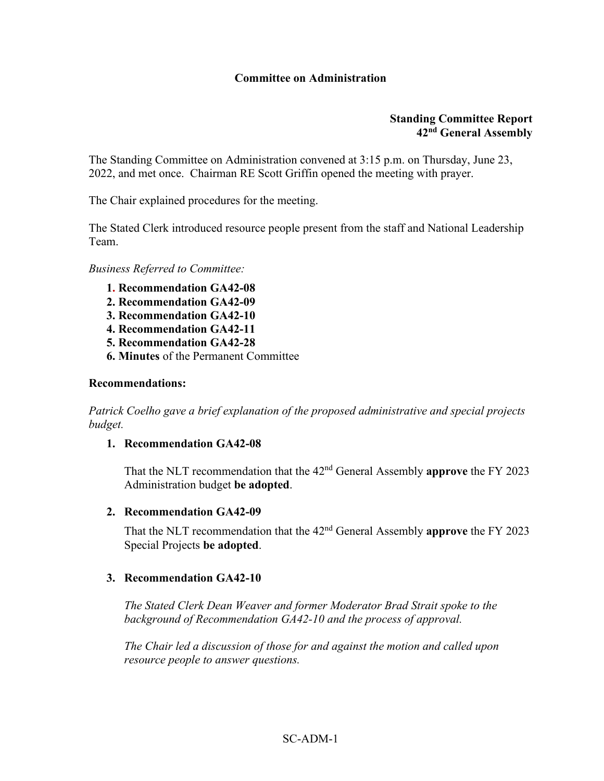# **Committee on Administration**

### **Standing Committee Report 42nd General Assembly**

The Standing Committee on Administration convened at 3:15 p.m. on Thursday, June 23, 2022, and met once. Chairman RE Scott Griffin opened the meeting with prayer.

The Chair explained procedures for the meeting.

The Stated Clerk introduced resource people present from the staff and National Leadership Team.

*Business Referred to Committee:*

- **1. Recommendation GA42-08**
- **2. Recommendation GA42-09**
- **3. Recommendation GA42-10**
- **4. Recommendation GA42-11**
- **5. Recommendation GA42-28**
- **6. Minutes** of the Permanent Committee

#### **Recommendations:**

*Patrick Coelho gave a brief explanation of the proposed administrative and special projects budget.*

#### **1. Recommendation GA42-08**

That the NLT recommendation that the 42nd General Assembly **approve** the FY 2023 Administration budget **be adopted**.

# **2. Recommendation GA42-09**

That the NLT recommendation that the 42nd General Assembly **approve** the FY 2023 Special Projects **be adopted**.

#### **3. Recommendation GA42-10**

*The Stated Clerk Dean Weaver and former Moderator Brad Strait spoke to the background of Recommendation GA42-10 and the process of approval.*

*The Chair led a discussion of those for and against the motion and called upon resource people to answer questions.*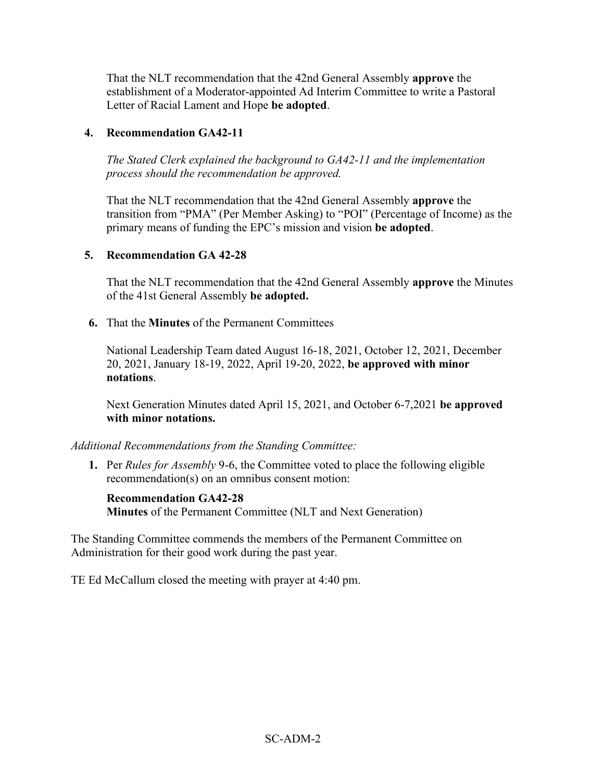That the NLT recommendation that the 42nd General Assembly **approve** the establishment of a Moderator-appointed Ad Interim Committee to write a Pastoral Letter of Racial Lament and Hope **be adopted**.

# **4. Recommendation GA42-11**

*The Stated Clerk explained the background to GA42-11 and the implementation process should the recommendation be approved.*

That the NLT recommendation that the 42nd General Assembly **approve** the transition from "PMA" (Per Member Asking) to "POI" (Percentage of Income) as the primary means of funding the EPC's mission and vision **be adopted**.

## **5. Recommendation GA 42-28**

That the NLT recommendation that the 42nd General Assembly **approve** the Minutes of the 41st General Assembly **be adopted.**

**6.** That the **Minutes** of the Permanent Committees

National Leadership Team dated August 16-18, 2021, October 12, 2021, December 20, 2021, January 18-19, 2022, April 19-20, 2022, **be approved with minor notations**.

Next Generation Minutes dated April 15, 2021, and October 6-7,2021 **be approved with minor notations.** 

#### *Additional Recommendations from the Standing Committee:*

**1.** Per *Rules for Assembly* 9-6, the Committee voted to place the following eligible recommendation(s) on an omnibus consent motion:

#### **Recommendation GA42-28**

**Minutes** of the Permanent Committee (NLT and Next Generation)

The Standing Committee commends the members of the Permanent Committee on Administration for their good work during the past year.

TE Ed McCallum closed the meeting with prayer at 4:40 pm.